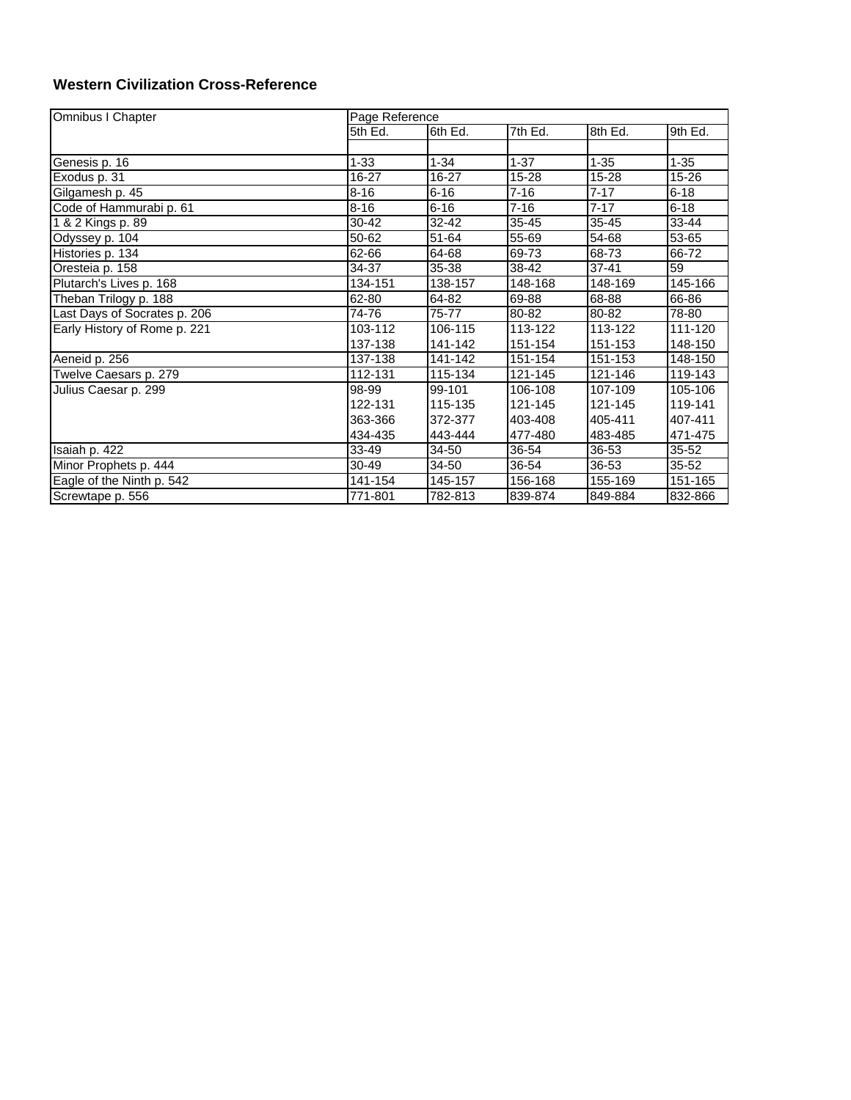## **Western Civilization Cross-Reference**

| Omnibus I Chapter            | Page Reference |             |          |           |           |  |
|------------------------------|----------------|-------------|----------|-----------|-----------|--|
|                              | 5th Ed.        | 6th $Ed.$   | 7th Ed.  | 8th Ed.   | 9th Ed.   |  |
|                              |                |             |          |           |           |  |
| Genesis p. 16                | $1 - 33$       | $1 - 34$    | $1 - 37$ | $1 - 35$  | 1-35      |  |
| Exodus p. 31                 | $16 - 27$      | $16 - 27$   | 15-28    | 15-28     | 15-26     |  |
| Gilgamesh p. 45              | $8 - 16$       | $6 - 16$    | $7 - 16$ | $7 - 17$  | $6 - 18$  |  |
| Code of Hammurabi p. 61      | $8 - 16$       | $6 - 16$    | $7 - 16$ | $7 - 17$  | $6 - 18$  |  |
| 1 & 2 Kings p. 89            | 30-42          | 32-42       | 35-45    | $35 - 45$ | $33 - 44$ |  |
| Odyssey p. 104               | 50-62          | 51-64       | 55-69    | 54-68     | 53-65     |  |
| Histories p. 134             | 62-66          | 64-68       | 69-73    | 68-73     | 66-72     |  |
| Oresteia p. 158              | 34-37          | 35-38       | 38-42    | $37 - 41$ | 59        |  |
| Plutarch's Lives p. 168      | 134-151        | 138-157     | 148-168  | 148-169   | 145-166   |  |
| Theban Trilogy p. 188        | 62-80          | 64-82       | 69-88    | 68-88     | 66-86     |  |
| Last Days of Socrates p. 206 | 74-76          | 75-77       | 80-82    | 80-82     | 78-80     |  |
| Early History of Rome p. 221 | 103-112        | $106 - 115$ | 113-122  | 113-122   | 111-120   |  |
|                              | 137-138        | 141-142     | 151-154  | 151-153   | 148-150   |  |
| Aeneid p. 256                | 137-138        | 141-142     | 151-154  | 151-153   | 148-150   |  |
| Twelve Caesars p. 279        | 112-131        | 115-134     | 121-145  | 121-146   | 119-143   |  |
| Julius Caesar p. 299         | 98-99          | 99-101      | 106-108  | 107-109   | 105-106   |  |
|                              | 122-131        | 115-135     | 121-145  | 121-145   | 119-141   |  |
|                              | 363-366        | 372-377     | 403-408  | 405-411   | 407-411   |  |
|                              | 434-435        | 443-444     | 477-480  | 483-485   | 471-475   |  |
| Isaiah p. 422                | 33-49          | 34-50       | 36-54    | $36 - 53$ | $35 - 52$ |  |
| Minor Prophets p. 444        | 30-49          | 34-50       | 36-54    | $36 - 53$ | $35 - 52$ |  |
| Eagle of the Ninth p. 542    | 141-154        | 145-157     | 156-168  | 155-169   | 151-165   |  |
| Screwtape p. 556             | 771-801        | 782-813     | 839-874  | 849-884   | 832-866   |  |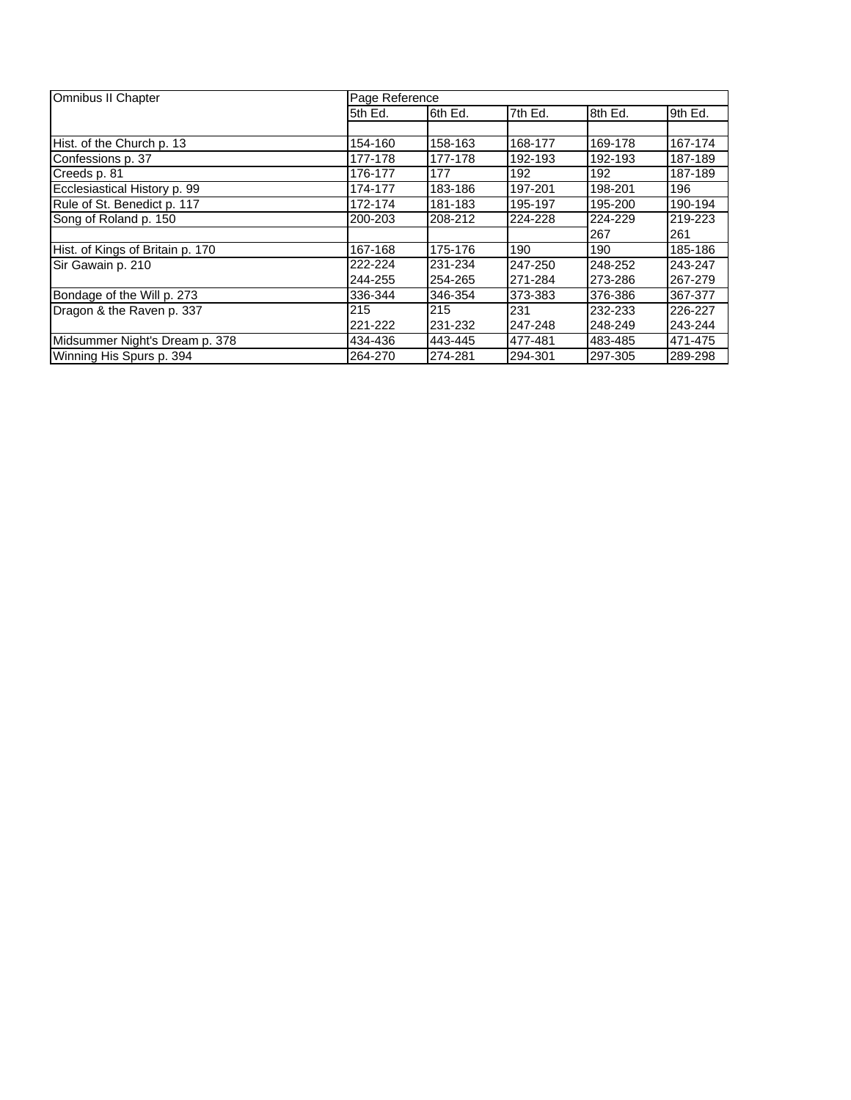| Omnibus II Chapter               | Page Reference |         |         |         |         |  |
|----------------------------------|----------------|---------|---------|---------|---------|--|
|                                  | 5th Ed.        | 6th Ed. | 7th Ed. | 8th Ed. | 9th Ed. |  |
|                                  |                |         |         |         |         |  |
| Hist. of the Church p. 13        | 154-160        | 158-163 | 168-177 | 169-178 | 167-174 |  |
| Confessions p. 37                | 177-178        | 177-178 | 192-193 | 192-193 | 187-189 |  |
| Creeds p. 81                     | 176-177        | 177     | 192     | 192     | 187-189 |  |
| Ecclesiastical History p. 99     | 174-177        | 183-186 | 197-201 | 198-201 | 196     |  |
| Rule of St. Benedict p. 117      | 172-174        | 181-183 | 195-197 | 195-200 | 190-194 |  |
| Song of Roland p. 150            | 200-203        | 208-212 | 224-228 | 224-229 | 219-223 |  |
|                                  |                |         |         | 267     | 261     |  |
| Hist. of Kings of Britain p. 170 | 167-168        | 175-176 | 190     | 190     | 185-186 |  |
| Sir Gawain p. 210                | 222-224        | 231-234 | 247-250 | 248-252 | 243-247 |  |
|                                  | 244-255        | 254-265 | 271-284 | 273-286 | 267-279 |  |
| Bondage of the Will p. 273       | 336-344        | 346-354 | 373-383 | 376-386 | 367-377 |  |
| Dragon & the Raven p. 337        | 215            | 215     | 231     | 232-233 | 226-227 |  |
|                                  | 221-222        | 231-232 | 247-248 | 248-249 | 243-244 |  |
| Midsummer Night's Dream p. 378   | 434-436        | 443-445 | 477-481 | 483-485 | 471-475 |  |
| Winning His Spurs p. 394         | 264-270        | 274-281 | 294-301 | 297-305 | 289-298 |  |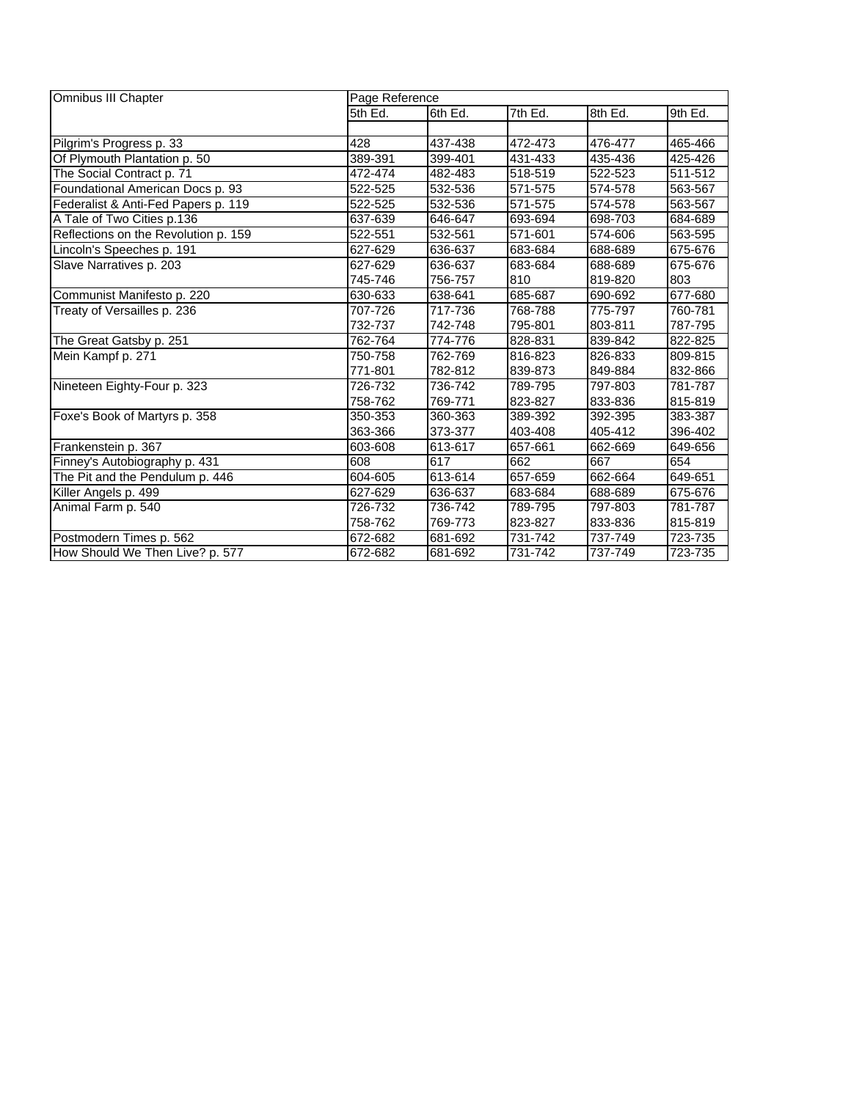| Omnibus III Chapter                  | Page Reference |         |         |         |         |  |
|--------------------------------------|----------------|---------|---------|---------|---------|--|
|                                      | 5th Ed.        | 6th Ed. | 7th Ed. | 8th Ed. | 9th Ed. |  |
|                                      |                |         |         |         |         |  |
| Pilgrim's Progress p. 33             | 428            | 437-438 | 472-473 | 476-477 | 465-466 |  |
| Of Plymouth Plantation p. 50         | 389-391        | 399-401 | 431-433 | 435-436 | 425-426 |  |
| The Social Contract p. 71            | 472-474        | 482-483 | 518-519 | 522-523 | 511-512 |  |
| Foundational American Docs p. 93     | 522-525        | 532-536 | 571-575 | 574-578 | 563-567 |  |
| Federalist & Anti-Fed Papers p. 119  | 522-525        | 532-536 | 571-575 | 574-578 | 563-567 |  |
| A Tale of Two Cities p.136           | 637-639        | 646-647 | 693-694 | 698-703 | 684-689 |  |
| Reflections on the Revolution p. 159 | 522-551        | 532-561 | 571-601 | 574-606 | 563-595 |  |
| Lincoln's Speeches p. 191            | 627-629        | 636-637 | 683-684 | 688-689 | 675-676 |  |
| Slave Narratives p. 203              | 627-629        | 636-637 | 683-684 | 688-689 | 675-676 |  |
|                                      | 745-746        | 756-757 | 810     | 819-820 | 803     |  |
| Communist Manifesto p. 220           | 630-633        | 638-641 | 685-687 | 690-692 | 677-680 |  |
| Treaty of Versailles p. 236          | 707-726        | 717-736 | 768-788 | 775-797 | 760-781 |  |
|                                      | 732-737        | 742-748 | 795-801 | 803-811 | 787-795 |  |
| The Great Gatsby p. 251              | 762-764        | 774-776 | 828-831 | 839-842 | 822-825 |  |
| Mein Kampf p. 271                    | 750-758        | 762-769 | 816-823 | 826-833 | 809-815 |  |
|                                      | 771-801        | 782-812 | 839-873 | 849-884 | 832-866 |  |
| Nineteen Eighty-Four p. 323          | 726-732        | 736-742 | 789-795 | 797-803 | 781-787 |  |
|                                      | 758-762        | 769-771 | 823-827 | 833-836 | 815-819 |  |
| Foxe's Book of Martyrs p. 358        | 350-353        | 360-363 | 389-392 | 392-395 | 383-387 |  |
|                                      | 363-366        | 373-377 | 403-408 | 405-412 | 396-402 |  |
| Frankenstein p. 367                  | 603-608        | 613-617 | 657-661 | 662-669 | 649-656 |  |
| Finney's Autobiography p. 431        | 608            | 617     | 662     | 667     | 654     |  |
| The Pit and the Pendulum p. 446      | 604-605        | 613-614 | 657-659 | 662-664 | 649-651 |  |
| Killer Angels p. 499                 | 627-629        | 636-637 | 683-684 | 688-689 | 675-676 |  |
| Animal Farm p. 540                   | 726-732        | 736-742 | 789-795 | 797-803 | 781-787 |  |
|                                      | 758-762        | 769-773 | 823-827 | 833-836 | 815-819 |  |
| Postmodern Times p. 562              | 672-682        | 681-692 | 731-742 | 737-749 | 723-735 |  |
| How Should We Then Live? p. 577      | 672-682        | 681-692 | 731-742 | 737-749 | 723-735 |  |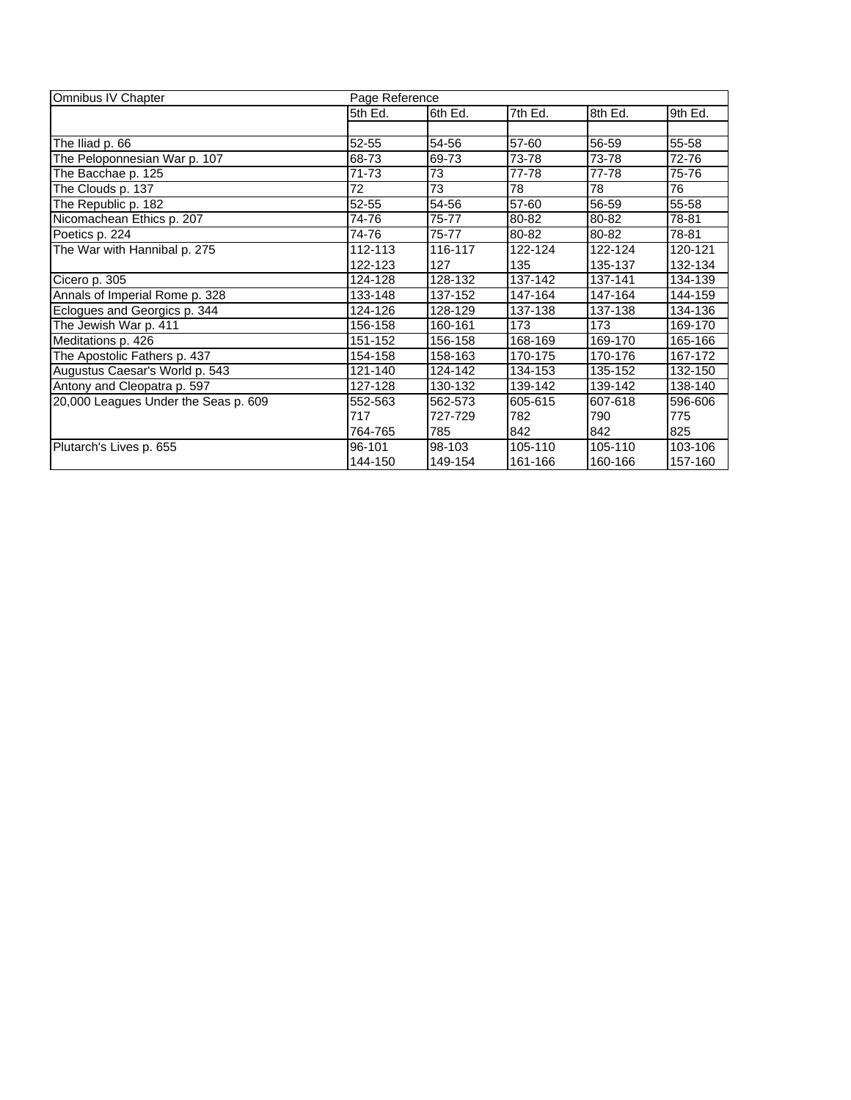| Omnibus IV Chapter                   | Page Reference |         |         |         |         |  |
|--------------------------------------|----------------|---------|---------|---------|---------|--|
|                                      | 5th Ed.        | 6th Ed. | 7th Ed. | 8th Ed. | 9th Ed. |  |
|                                      |                |         |         |         |         |  |
| The Iliad p. 66                      | $52 - 55$      | 54-56   | 57-60   | 56-59   | 55-58   |  |
| The Peloponnesian War p. 107         | 68-73          | 69-73   | 73-78   | 73-78   | 72-76   |  |
| The Bacchae p. 125                   | 71-73          | 73      | 77-78   | 77-78   | 75-76   |  |
| The Clouds p. 137                    | 72             | 73      | 78      | 78      | 76      |  |
| The Republic p. 182                  | 52-55          | 54-56   | 57-60   | 56-59   | 55-58   |  |
| Nicomachean Ethics p. 207            | 74-76          | 75-77   | 80-82   | 80-82   | 78-81   |  |
| Poetics p. 224                       | 74-76          | 75-77   | 80-82   | 80-82   | 78-81   |  |
| The War with Hannibal p. 275         | 112-113        | 116-117 | 122-124 | 122-124 | 120-121 |  |
|                                      | 122-123        | 127     | 135     | 135-137 | 132-134 |  |
| Cicero p. 305                        | 124-128        | 128-132 | 137-142 | 137-141 | 134-139 |  |
| Annals of Imperial Rome p. 328       | 133-148        | 137-152 | 147-164 | 147-164 | 144-159 |  |
| Eclogues and Georgics p. 344         | 124-126        | 128-129 | 137-138 | 137-138 | 134-136 |  |
| The Jewish War p. 411                | 156-158        | 160-161 | 173     | 173     | 169-170 |  |
| Meditations p. 426                   | 151-152        | 156-158 | 168-169 | 169-170 | 165-166 |  |
| The Apostolic Fathers p. 437         | 154-158        | 158-163 | 170-175 | 170-176 | 167-172 |  |
| Augustus Caesar's World p. 543       | 121-140        | 124-142 | 134-153 | 135-152 | 132-150 |  |
| Antony and Cleopatra p. 597          | 127-128        | 130-132 | 139-142 | 139-142 | 138-140 |  |
| 20,000 Leagues Under the Seas p. 609 | 552-563        | 562-573 | 605-615 | 607-618 | 596-606 |  |
|                                      | 717            | 727-729 | 782     | 790     | 775     |  |
|                                      | 764-765        | 785     | 842     | 842     | 825     |  |
| Plutarch's Lives p. 655              | 96-101         | 98-103  | 105-110 | 105-110 | 103-106 |  |
|                                      | 144-150        | 149-154 | 161-166 | 160-166 | 157-160 |  |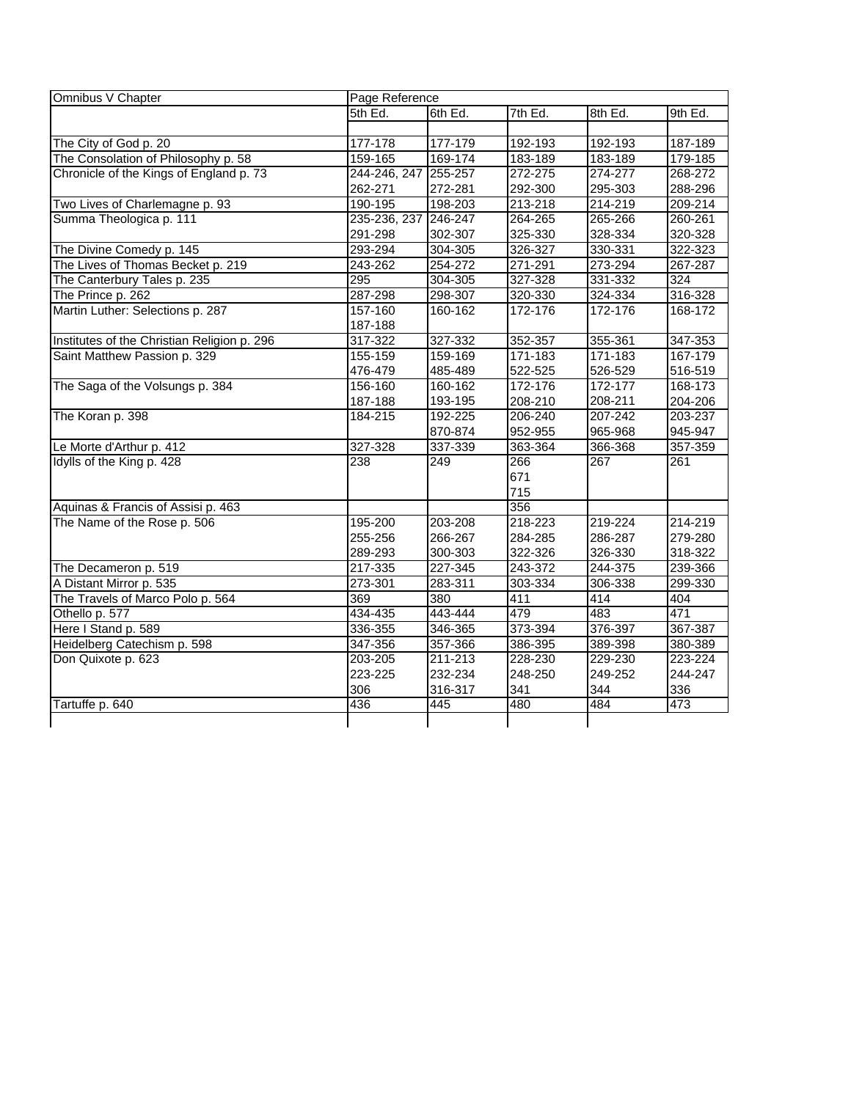| Omnibus V Chapter                           | Page Reference       |         |             |         |             |  |
|---------------------------------------------|----------------------|---------|-------------|---------|-------------|--|
|                                             | 5th Ed.              | 6th Ed. | $7th$ Ed.   | 8th Ed. | 9th Ed.     |  |
|                                             |                      |         |             |         |             |  |
| The City of God p. 20                       | 177-178              | 177-179 | 192-193     | 192-193 | 187-189     |  |
| The Consolation of Philosophy p. 58         | 159-165              | 169-174 | 183-189     | 183-189 | 179-185     |  |
| Chronicle of the Kings of England p. 73     | 244-246, 247 255-257 |         | 272-275     | 274-277 | 268-272     |  |
|                                             | 262-271              | 272-281 | 292-300     | 295-303 | 288-296     |  |
| Two Lives of Charlemagne p. 93              | 190-195              | 198-203 | 213-218     | 214-219 | 209-214     |  |
| Summa Theologica p. 111                     | 235-236, 237 246-247 |         | 264-265     | 265-266 | 260-261     |  |
|                                             | 291-298              | 302-307 | 325-330     | 328-334 | 320-328     |  |
| The Divine Comedy p. 145                    | 293-294              | 304-305 | 326-327     | 330-331 | 322-323     |  |
| The Lives of Thomas Becket p. 219           | 243-262              | 254-272 | 271-291     | 273-294 | 267-287     |  |
| The Canterbury Tales p. 235                 | 295                  | 304-305 | 327-328     | 331-332 | 324         |  |
| The Prince p. 262                           | 287-298              | 298-307 | 320-330     | 324-334 | 316-328     |  |
| Martin Luther: Selections p. 287            | 157-160              | 160-162 | 172-176     | 172-176 | 168-172     |  |
|                                             | 187-188              |         |             |         |             |  |
| Institutes of the Christian Religion p. 296 | 317-322              | 327-332 | 352-357     | 355-361 | 347-353     |  |
| Saint Matthew Passion p. 329                | 155-159              | 159-169 | 171-183     | 171-183 | $167 - 179$ |  |
|                                             | 476-479              | 485-489 | 522-525     | 526-529 | 516-519     |  |
| The Saga of the Volsungs p. 384             | 156-160              | 160-162 | 172-176     | 172-177 | 168-173     |  |
|                                             | 187-188              | 193-195 | 208-210     | 208-211 | 204-206     |  |
| The Koran p. 398                            | 184-215              | 192-225 | 206-240     | 207-242 | 203-237     |  |
|                                             |                      | 870-874 | 952-955     | 965-968 | 945-947     |  |
| Le Morte d'Arthur p. 412                    | 327-328              | 337-339 | 363-364     | 366-368 | 357-359     |  |
| Idylls of the King p. 428                   | 238                  | 249     | 266         | 267     | 261         |  |
|                                             |                      |         | 671         |         |             |  |
|                                             |                      |         | 715         |         |             |  |
| Aquinas & Francis of Assisi p. 463          |                      |         | 356         |         |             |  |
| The Name of the Rose p. 506                 | 195-200              | 203-208 | 218-223     | 219-224 | 214-219     |  |
|                                             | 255-256              | 266-267 | 284-285     | 286-287 | 279-280     |  |
|                                             | 289-293              | 300-303 | 322-326     | 326-330 | 318-322     |  |
| The Decameron p. 519                        | 217-335              | 227-345 | $243 - 372$ | 244-375 | 239-366     |  |
| A Distant Mirror p. 535                     | 273-301              | 283-311 | 303-334     | 306-338 | 299-330     |  |
| The Travels of Marco Polo p. 564            | 369                  | 380     | 411         | 414     | 404         |  |
| Othello p. 577                              | 434-435              | 443-444 | 479         | 483     | 471         |  |
| Here I Stand p. 589                         | 336-355              | 346-365 | 373-394     | 376-397 | 367-387     |  |
| Heidelberg Catechism p. 598                 | 347-356              | 357-366 | 386-395     | 389-398 | 380-389     |  |
| Don Quixote p. 623                          | 203-205              | 211-213 | 228-230     | 229-230 | 223-224     |  |
|                                             | 223-225              | 232-234 | 248-250     | 249-252 | 244-247     |  |
|                                             | 306                  | 316-317 | 341         | 344     | 336         |  |
| Tartuffe p. 640                             | 436                  | 445     | 480         | 484     | 473         |  |